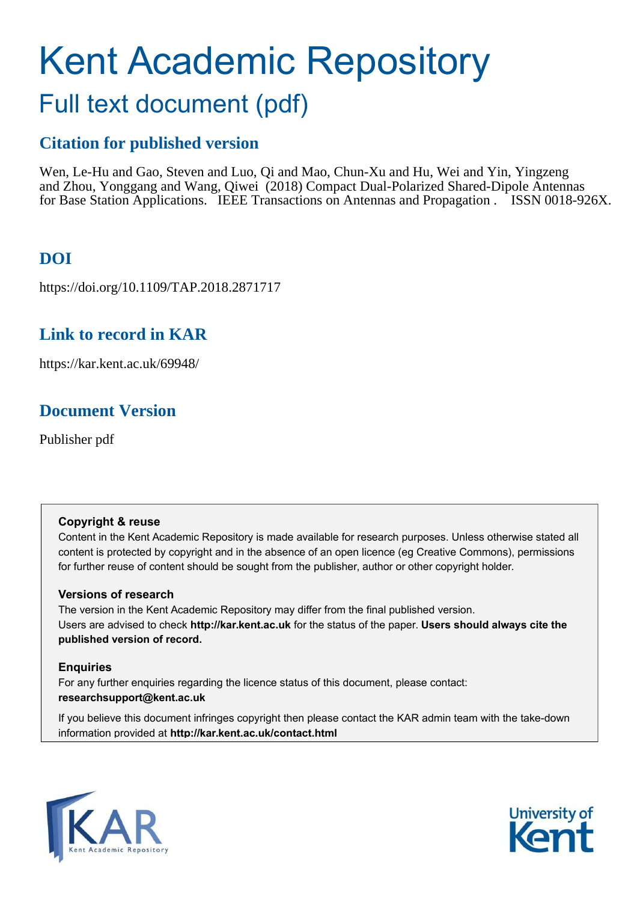# Kent Academic Repository

# Full text document (pdf)

## **Citation for published version**

Wen, Le-Hu and Gao, Steven and Luo, Qi and Mao, Chun-Xu and Hu, Wei and Yin, Yingzeng and Zhou, Yonggang and Wang, Qiwei (2018) Compact Dual-Polarized Shared-Dipole Antennas for Base Station Applications. IEEE Transactions on Antennas and Propagation . ISSN 0018-926X.

## **DOI**

https://doi.org/10.1109/TAP.2018.2871717

## **Link to record in KAR**

https://kar.kent.ac.uk/69948/

## **Document Version**

Publisher pdf

#### **Copyright & reuse**

Content in the Kent Academic Repository is made available for research purposes. Unless otherwise stated all content is protected by copyright and in the absence of an open licence (eg Creative Commons), permissions for further reuse of content should be sought from the publisher, author or other copyright holder.

#### **Versions of research**

The version in the Kent Academic Repository may differ from the final published version. Users are advised to check **http://kar.kent.ac.uk** for the status of the paper. **Users should always cite the published version of record.**

### **Enquiries**

For any further enquiries regarding the licence status of this document, please contact: **researchsupport@kent.ac.uk**

If you believe this document infringes copyright then please contact the KAR admin team with the take-down information provided at **http://kar.kent.ac.uk/contact.html**



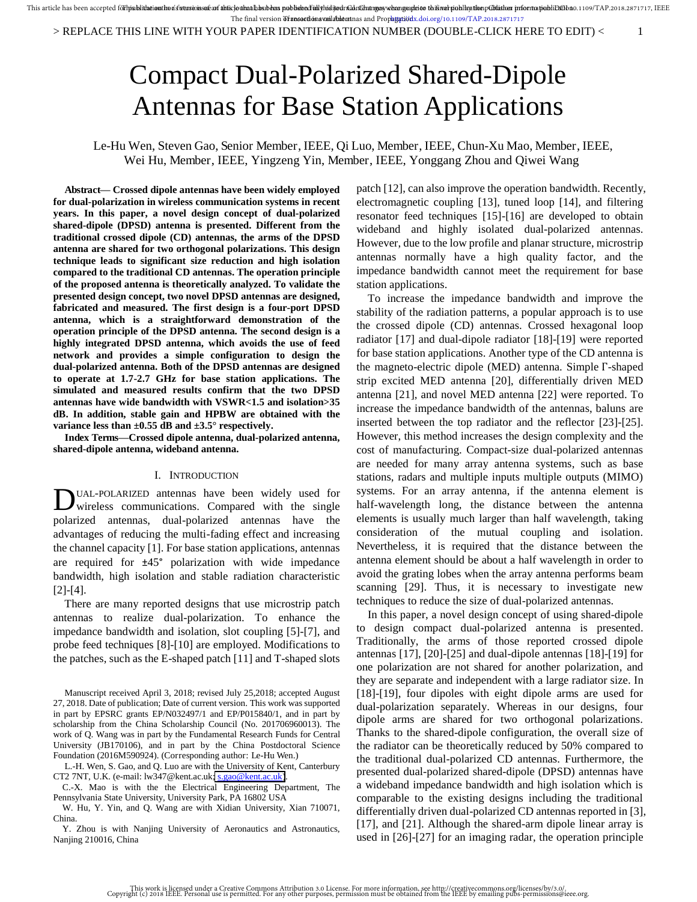## Compact Dual-Polarized Shared-Dipole Antennas for Base Station Applications

#### Le-Hu Wen, Steven Gao, Senior Member, IEEE, Qi Luo, Member, IEEE, Chun-Xu Mao, Member, IEEE, Wei Hu, Member, IEEE, Yingzeng Yin, Member, IEEE, Yonggang Zhou and Qiwei Wang

**Abstract— Crossed dipole antennas have been widely employed for dual-polarization in wireless communication systems in recent years. In this paper, a novel design concept of dual-polarized shared-dipole (DPSD) antenna is presented. Different from the traditional crossed dipole (CD) antennas, the arms of the DPSD antenna are shared for two orthogonal polarizations. This design technique leads to significant size reduction and high isolation compared to the traditional CD antennas. The operation principle of the proposed antenna is theoretically analyzed. To validate the presented design concept, two novel DPSD antennas are designed, fabricated and measured. The first design is a four-port DPSD antenna, which is a straightforward demonstration of the operation principle of the DPSD antenna. The second design is a highly integrated DPSD antenna, which avoids the use of feed network and provides a simple configuration to design the dual-polarized antenna. Both of the DPSD antennas are designed to operate at 1.7-2.7 GHz for base station applications. The simulated and measured results confirm that the two DPSD antennas have wide bandwidth with VSWR<1.5 and isolation>35 dB. In addition, stable gain and HPBW are obtained with the variance less than ±0.55 dB and ±3.5° respectively.**

**Index Terms—Crossed dipole antenna, dual-polarized antenna, shared-dipole antenna, wideband antenna.** 

#### I. INTRODUCTION

UAL-POLARIZED antennas have been widely used for DUAL-POLARIZED antennas have been widely used for wireless communications. Compared with the single polarized antennas, dual-polarized antennas have the advantages of reducing the multi-fading effect and increasing the channel capacity [1]. For base station applications, antennas are required for ±45° polarization with wide impedance bandwidth, high isolation and stable radiation characteristic [2]-[4].

There are many reported designs that use microstrip patch antennas to realize dual-polarization. To enhance the impedance bandwidth and isolation, slot coupling [5]-[7], and probe feed techniques [8]-[10] are employed. Modifications to the patches, such as the E-shaped patch [11] and T-shaped slots

Manuscript received April 3, 2018; revised July 25,2018; accepted August 27, 2018. Date of publication; Date of current version. This work was supported in part by EPSRC grants EP/N032497/1 and EP/P015840/1, and in part by scholarship from the China Scholarship Council (No. 201706960013). The work of Q. Wang was in part by the Fundamental Research Funds for Central University (JB170106), and in part by the China Postdoctoral Science Foundation (2016M590924). (Corresponding author: Le-Hu Wen.)

L.-H. Wen, S. Gao, and Q. Luo are with the University of Kent, Canterbury CT2 7NT, U.K. (e-mail: lw347@kent.ac.uk[; s.gao@kent.ac.uk\)](mailto:s.gao@kent.ac.uk).

C.-X. Mao is with the the Electrical Engineering Department, The Pennsylvania State University, University Park, PA 16802 USA

W. Hu, Y. Yin, and Q. Wang are with Xidian University, Xian 710071, China.

Y. Zhou is with Nanjing University of Aeronautics and Astronautics, Nanjing 210016, China

patch [12], can also improve the operation bandwidth. Recently, electromagnetic coupling [13], tuned loop [14], and filtering resonator feed techniques [15]-[16] are developed to obtain wideband and highly isolated dual-polarized antennas. However, due to the low profile and planar structure, microstrip antennas normally have a high quality factor, and the impedance bandwidth cannot meet the requirement for base station applications.

To increase the impedance bandwidth and improve the stability of the radiation patterns, a popular approach is to use the crossed dipole (CD) antennas. Crossed hexagonal loop radiator [17] and dual-dipole radiator [18]-[19] were reported for base station applications. Another type of the CD antenna is the magneto-electric dipole (MED) antenna. Simple Г-shaped strip excited MED antenna [20], differentially driven MED antenna [21], and novel MED antenna [22] were reported. To increase the impedance bandwidth of the antennas, baluns are inserted between the top radiator and the reflector [23]-[25]. However, this method increases the design complexity and the cost of manufacturing. Compact-size dual-polarized antennas are needed for many array antenna systems, such as base stations, radars and multiple inputs multiple outputs (MIMO) systems. For an array antenna, if the antenna element is half-wavelength long, the distance between the antenna elements is usually much larger than half wavelength, taking consideration of the mutual coupling and isolation. Nevertheless, it is required that the distance between the antenna element should be about a half wavelength in order to avoid the grating lobes when the array antenna performs beam scanning [29]. Thus, it is necessary to investigate new techniques to reduce the size of dual-polarized antennas.

In this paper, a novel design concept of using shared-dipole to design compact dual-polarized antenna is presented. Traditionally, the arms of those reported crossed dipole antennas [17], [20]-[25] and dual-dipole antennas [18]-[19] for one polarization are not shared for another polarization, and they are separate and independent with a large radiator size. In [18]-[19], four dipoles with eight dipole arms are used for dual-polarization separately. Whereas in our designs, four dipole arms are shared for two orthogonal polarizations. Thanks to the shared-dipole configuration, the overall size of the radiator can be theoretically reduced by 50% compared to the traditional dual-polarized CD antennas. Furthermore, the presented dual-polarized shared-dipole (DPSD) antennas have a wideband impedance bandwidth and high isolation which is comparable to the existing designs including the traditional differentially driven dual-polarized CD antennas reported in [3], [17], and [21]. Although the shared-arm dipole linear array is used in [26]-[27] for an imaging radar, the operation principle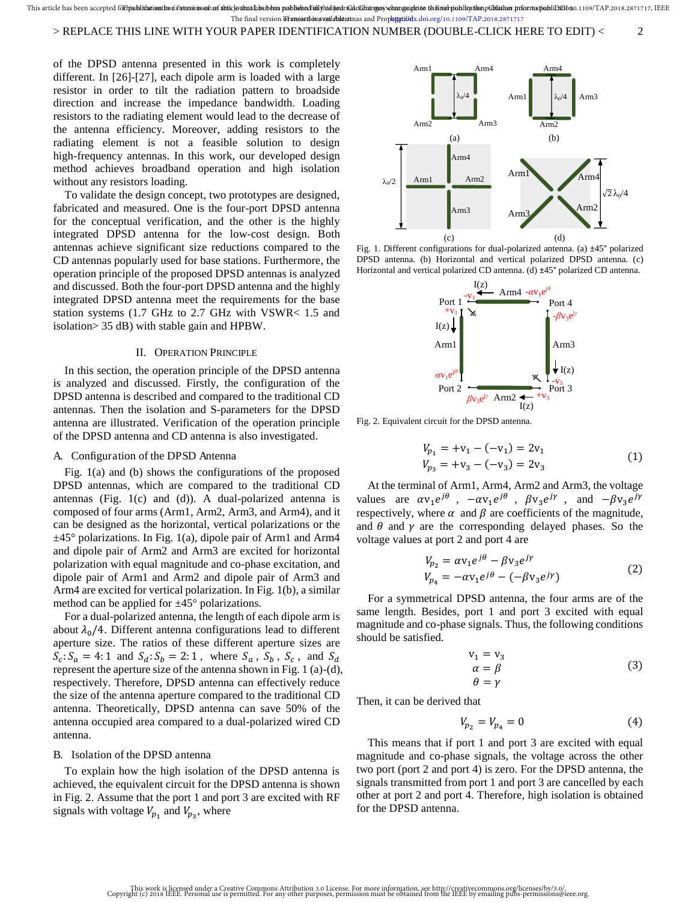#### > REPLACE THIS LINE WITH YOUR PAPER IDENTIFICATION NUMBER (DOUBLE-CLICK HERE TO EDIT) < 2

of the DPSD antenna presented in this work is completely different. In [26]-[27], each dipole arm is loaded with a large resistor in order to tilt the radiation pattern to broadside direction and increase the impedance bandwidth. Loading resistors to the radiating element would lead to the decrease of the antenna efficiency. Moreover, adding resistors to the radiating element is not a feasible solution to design high-frequency antennas. In this work, our developed design method achieves broadband operation and high isolation without any resistors loading.

To validate the design concept, two prototypes are designed, fabricated and measured. One is the four-port DPSD antenna for the conceptual verification, and the other is the highly integrated DPSD antenna for the low-cost design. Both antennas achieve significant size reductions compared to the CD antennas popularly used for base stations. Furthermore, the operation principle of the proposed DPSD antennas is analyzed and discussed. Both the four-port DPSD antenna and the highly integrated DPSD antenna meet the requirements for the base station systems (1.7 GHz to 2.7 GHz with VSWR< 1.5 and isolation> 35 dB) with stable gain and HPBW.

#### II. OPERATION PRINCIPLE

In this section, the operation principle of the DPSD antenna is analyzed and discussed. Firstly, the configuration of the DPSD antenna is described and compared to the traditional CD antennas. Then the isolation and S-parameters for the DPSD antenna are illustrated. Verification of the operation principle of the DPSD antenna and CD antenna is also investigated.

#### A. Configuration of the DPSD Antenna

Fig. 1(a) and (b) shows the configurations of the proposed DPSD antennas, which are compared to the traditional CD antennas (Fig.  $1(c)$  and  $(d)$ ). A dual-polarized antenna is composed of four arms (Arm1, Arm2, Arm3, and Arm4), and it can be designed as the horizontal, vertical polarizations or the  $\pm$ 45° polarizations. In Fig. 1(a), dipole pair of Arm1 and Arm4 and dipole pair of Arm2 and Arm3 are excited for horizontal polarization with equal magnitude and co-phase excitation, and dipole pair of Arm1 and Arm2 and dipole pair of Arm3 and Arm4 are excited for vertical polarization. In Fig. 1(b), a similar method can be applied for  $\pm 45^{\circ}$  polarizations.

For a dual-polarized antenna, the length of each dipole arm is about  $\lambda_0/4$ . Different antenna configurations lead to different aperture size. The ratios of these different aperture sizes are  $S_c: S_a = 4:1$  and  $S_d: S_b = 2:1$ , where  $S_a$ ,  $S_b$ ,  $S_c$ , and  $S_d$ represent the aperture size of the antenna shown in Fig. 1 (a)-(d), respectively. Therefore, DPSD antenna can effectively reduce the size of the antenna aperture compared to the traditional CD antenna. Theoretically, DPSD antenna can save 50% of the antenna occupied area compared to a dual-polarized wired CD antenna.

#### B. Isolation of the DPSD antenna

To explain how the high isolation of the DPSD antenna is achieved, the equivalent circuit for the DPSD antenna is shown in Fig. 2. Assume that the port 1 and port 3 are excited with RF signals with voltage  $V_{p_1}$  and  $V_{p_3}$ , where



Fig. 1. Different configurations for dual-polarized antenna. (a) ±45° polarized DPSD antenna. (b) Horizontal and vertical polarized DPSD antenna. (c) Horizontal and vertical polarized CD antenna. (d) ±45° polarized CD antenna.



Fig. 2. Equivalent circuit for the DPSD antenna.

$$
V_{p_1} = +v_1 - (-v_1) = 2v_1
$$
  
\n
$$
V_{p_3} = +v_3 - (-v_3) = 2v_3
$$
\n(1)

At the terminal of Arm1, Arm4, Arm2 and Arm3, the voltage values are  $\alpha v_1 e^{j\theta}$ ,  $-\alpha v_1 e^{j\theta}$ ,  $\beta v_3 e^{j\gamma}$ , and  $-\beta v_3 e^{j\gamma}$ respectively, where  $\alpha$  and  $\beta$  are coefficients of the magnitude, and  $\theta$  and  $\gamma$  are the corresponding delayed phases. So the voltage values at port 2 and port 4 are

$$
V_{p_2} = \alpha v_1 e^{j\theta} - \beta v_3 e^{j\gamma}
$$
  
\n
$$
V_{p_4} = -\alpha v_1 e^{j\theta} - (-\beta v_3 e^{j\gamma})
$$
\n(2)

For a symmetrical DPSD antenna, the four arms are of the same length. Besides, port 1 and port 3 excited with equal magnitude and co-phase signals. Thus, the following conditions should be satisfied.

$$
\begin{array}{l}\n v_1 = v_3 \\
\alpha = \beta \\
\theta = \gamma\n \end{array} \n \tag{3}
$$

Then, it can be derived that

$$
V_{p_2} = V_{p_4} = 0 \tag{4}
$$

This means that if port 1 and port 3 are excited with equal magnitude and co-phase signals, the voltage across the other two port (port 2 and port 4) is zero. For the DPSD antenna, the signals transmitted from port 1 and port 3 are cancelled by each other at port 2 and port 4. Therefore, high isolation is obtained for the DPSD antenna.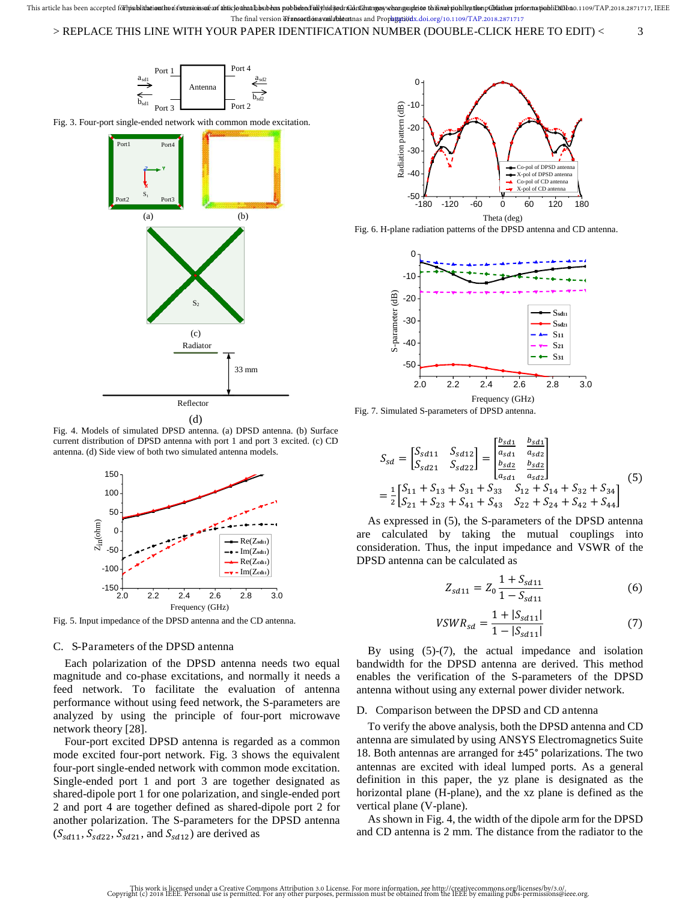

Fig. 4. Models of simulated DPSD antenna. (a) DPSD antenna. (b) Surface current distribution of DPSD antenna with port 1 and port 3 excited. (c) CD antenna. (d) Side view of both two simulated antenna models.



Fig. 5. Input impedance of the DPSD antenna and the CD antenna.

#### C. S-Parameters of the DPSD antenna

Each polarization of the DPSD antenna needs two equal magnitude and co-phase excitations, and normally it needs a feed network. To facilitate the evaluation of antenna performance without using feed network, the S-parameters are analyzed by using the principle of four-port microwave network theory [28].

Four-port excited DPSD antenna is regarded as a common mode excited four-port network. Fig. 3 shows the equivalent four-port single-ended network with common mode excitation. Single-ended port 1 and port 3 are together designated as shared-dipole port 1 for one polarization, and single-ended port 2 and port 4 are together defined as shared-dipole port 2 for another polarization. The S-parameters for the DPSD antenna  $(S_{sd11}, S_{sd22}, S_{sd21}, \text{ and } S_{sd12})$  are derived as



Fig. 6. H-plane radiation patterns of the DPSD antenna and CD antenna.





$$
S_{sd} = \begin{bmatrix} S_{sd11} & S_{sd12} \\ S_{sd21} & S_{sd22} \end{bmatrix} = \begin{bmatrix} \frac{b_{sd1}}{a_{sd1}} & \frac{b_{sd1}}{a_{sd2}} \\ \frac{b_{sd2}}{a_{sd1}} & \frac{b_{sd2}}{a_{sd2}} \end{bmatrix}
$$
\n
$$
= \frac{1}{2} \begin{bmatrix} S_{11} + S_{13} + S_{31} + S_{33} & S_{12} + S_{14} + S_{32} + S_{34} \\ S_{21} + S_{23} + S_{41} + S_{43} & S_{22} + S_{24} + S_{42} + S_{44} \end{bmatrix} \tag{5}
$$

As expressed in (5), the S-parameters of the DPSD antenna are calculated by taking the mutual couplings into consideration. Thus, the input impedance and VSWR of the DPSD antenna can be calculated as

$$
Z_{sd11} = Z_0 \frac{1 + S_{sd11}}{1 - S_{sd11}}
$$
 (6)

$$
VSWR_{sd} = \frac{1 + |S_{sd11}|}{1 - |S_{sd11}|} \tag{7}
$$

By using (5)-(7), the actual impedance and isolation bandwidth for the DPSD antenna are derived. This method enables the verification of the S-parameters of the DPSD antenna without using any external power divider network.

#### D. Comparison between the DPSD and CD antenna

To verify the above analysis, both the DPSD antenna and CD antenna are simulated by using ANSYS Electromagnetics Suite 18. Both antennas are arranged for ±45° polarizations. The two antennas are excited with ideal lumped ports. As a general definition in this paper, the yz plane is designated as the horizontal plane (H-plane), and the xz plane is defined as the vertical plane (V-plane).

As shown in Fig. 4, the width of the dipole arm for the DPSD and CD antenna is 2 mm. The distance from the radiator to the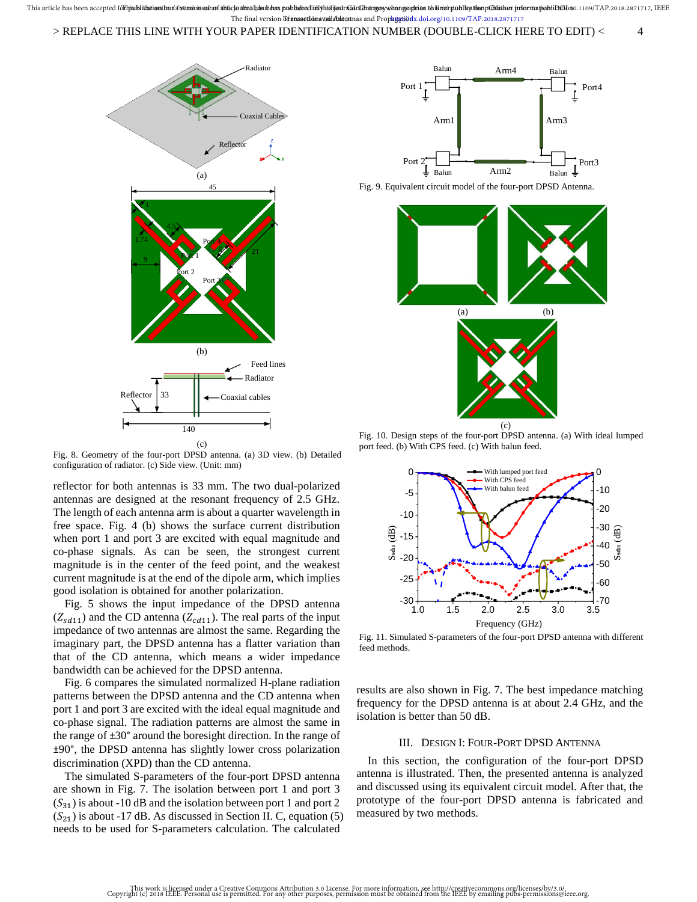

Fig. 8. Geometry of the four-port DPSD antenna. (a) 3D view. (b) Detailed configuration of radiator. (c) Side view. (Unit: mm)

reflector for both antennas is 33 mm. The two dual-polarized antennas are designed at the resonant frequency of 2.5 GHz. The length of each antenna arm is about a quarter wavelength in free space. Fig. 4 (b) shows the surface current distribution when port 1 and port 3 are excited with equal magnitude and co-phase signals. As can be seen, the strongest current magnitude is in the center of the feed point, and the weakest current magnitude is at the end of the dipole arm, which implies good isolation is obtained for another polarization.

Fig. 5 shows the input impedance of the DPSD antenna  $(Z_{sd11})$  and the CD antenna  $(Z_{cd11})$ . The real parts of the input impedance of two antennas are almost the same. Regarding the imaginary part, the DPSD antenna has a flatter variation than that of the CD antenna, which means a wider impedance bandwidth can be achieved for the DPSD antenna.

Fig. 6 compares the simulated normalized H-plane radiation patterns between the DPSD antenna and the CD antenna when port 1 and port 3 are excited with the ideal equal magnitude and co-phase signal. The radiation patterns are almost the same in the range of ±30° around the boresight direction. In the range of ±90°, the DPSD antenna has slightly lower cross polarization discrimination (XPD) than the CD antenna.

The simulated S-parameters of the four-port DPSD antenna are shown in Fig. 7. The isolation between port 1 and port 3  $(S_{31})$  is about -10 dB and the isolation between port 1 and port 2  $(S_{21})$  is about -17 dB. As discussed in Section II. C, equation (5) needs to be used for S-parameters calculation. The calculated







Fig. 10. Design steps of the four-port DPSD antenna. (a) With ideal lumped port feed. (b) With CPS feed. (c) With balun feed.



Fig. 11. Simulated S-parameters of the four-port DPSD antenna with different feed methods.

results are also shown in Fig. 7. The best impedance matching frequency for the DPSD antenna is at about 2.4 GHz, and the isolation is better than 50 dB.

#### III. DESIGN I: FOUR-PORT DPSD ANTENNA

In this section, the configuration of the four-port DPSD antenna is illustrated. Then, the presented antenna is analyzed and discussed using its equivalent circuit model. After that, the prototype of the four-port DPSD antenna is fabricated and measured by two methods.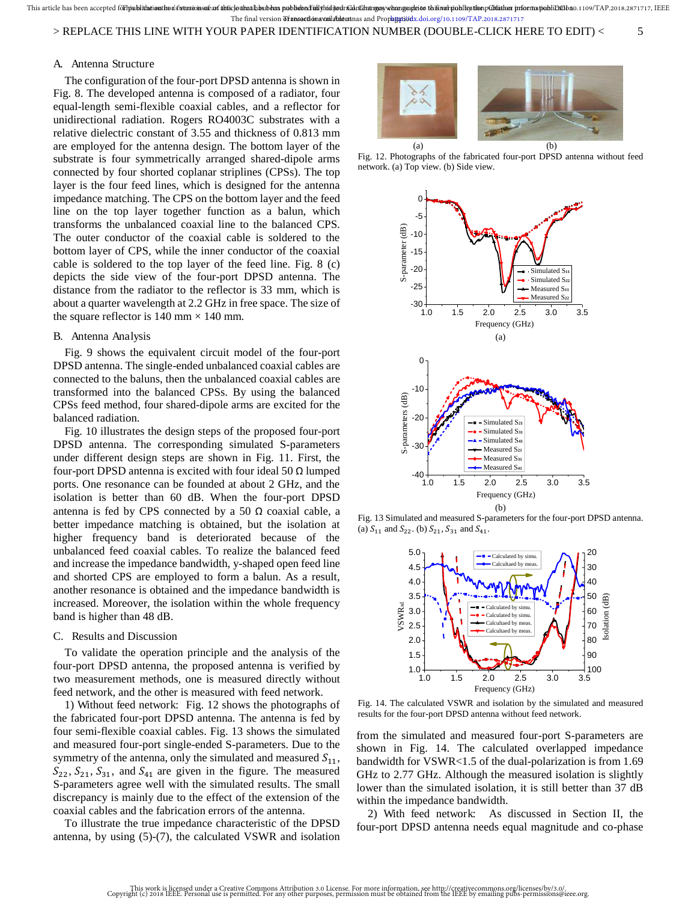#### > REPLACE THIS LINE WITH YOUR PAPER IDENTIFICATION NUMBER (DOUBLE-CLICK HERE TO EDIT) < 5

#### A. Antenna Structure

The configuration of the four-port DPSD antenna is shown in Fig. 8. The developed antenna is composed of a radiator, four equal-length semi-flexible coaxial cables, and a reflector for unidirectional radiation. Rogers RO4003C substrates with a relative dielectric constant of 3.55 and thickness of 0.813 mm are employed for the antenna design. The bottom layer of the substrate is four symmetrically arranged shared-dipole arms connected by four shorted coplanar striplines (CPSs). The top layer is the four feed lines, which is designed for the antenna impedance matching. The CPS on the bottom layer and the feed line on the top layer together function as a balun, which transforms the unbalanced coaxial line to the balanced CPS. The outer conductor of the coaxial cable is soldered to the bottom layer of CPS, while the inner conductor of the coaxial cable is soldered to the top layer of the feed line. Fig. 8 (c) depicts the side view of the four-port DPSD antenna. The distance from the radiator to the reflector is 33 mm, which is about a quarter wavelength at 2.2 GHz in free space. The size of the square reflector is 140 mm  $\times$  140 mm.

#### B. Antenna Analysis

Fig. 9 shows the equivalent circuit model of the four-port DPSD antenna. The single-ended unbalanced coaxial cables are connected to the baluns, then the unbalanced coaxial cables are transformed into the balanced CPSs. By using the balanced CPSs feed method, four shared-dipole arms are excited for the balanced radiation.

Fig. 10 illustrates the design steps of the proposed four-port DPSD antenna. The corresponding simulated S-parameters under different design steps are shown in Fig. 11. First, the four-port DPSD antenna is excited with four ideal 50  $\Omega$  lumped ports. One resonance can be founded at about 2 GHz, and the isolation is better than 60 dB. When the four-port DPSD antenna is fed by CPS connected by a 50  $\Omega$  coaxial cable, a better impedance matching is obtained, but the isolation at higher frequency band is deteriorated because of the unbalanced feed coaxial cables. To realize the balanced feed and increase the impedance bandwidth, y-shaped open feed line and shorted CPS are employed to form a balun. As a result, another resonance is obtained and the impedance bandwidth is increased. Moreover, the isolation within the whole frequency band is higher than 48 dB.

#### C. Results and Discussion

To validate the operation principle and the analysis of the four-port DPSD antenna, the proposed antenna is verified by two measurement methods, one is measured directly without feed network, and the other is measured with feed network.

1) Without feed network: Fig. 12 shows the photographs of the fabricated four-port DPSD antenna. The antenna is fed by four semi-flexible coaxial cables. Fig. 13 shows the simulated and measured four-port single-ended S-parameters. Due to the symmetry of the antenna, only the simulated and measured  $S_{11}$ ,  $S_{22}$ ,  $S_{21}$ ,  $S_{31}$ , and  $S_{41}$  are given in the figure. The measured S-parameters agree well with the simulated results. The small discrepancy is mainly due to the effect of the extension of the coaxial cables and the fabrication errors of the antenna.

To illustrate the true impedance characteristic of the DPSD antenna, by using (5)-(7), the calculated VSWR and isolation



Fig. 12. Photographs of the fabricated four-port DPSD antenna without feed network. (a) Top view. (b) Side view.



Fig. 13 Simulated and measured S-parameters for the four-port DPSD antenna. (a)  $S_{11}$  and  $S_{22}$ . (b)  $S_{21}$ ,  $S_{31}$  and  $S_{41}$ .



Fig. 14. The calculated VSWR and isolation by the simulated and measured results for the four-port DPSD antenna without feed network.

from the simulated and measured four-port S-parameters are shown in Fig. 14. The calculated overlapped impedance bandwidth for VSWR<1.5 of the dual-polarization is from 1.69 GHz to 2.77 GHz. Although the measured isolation is slightly lower than the simulated isolation, it is still better than 37 dB within the impedance bandwidth.

2) With feed network: As discussed in Section II, the four-port DPSD antenna needs equal magnitude and co-phase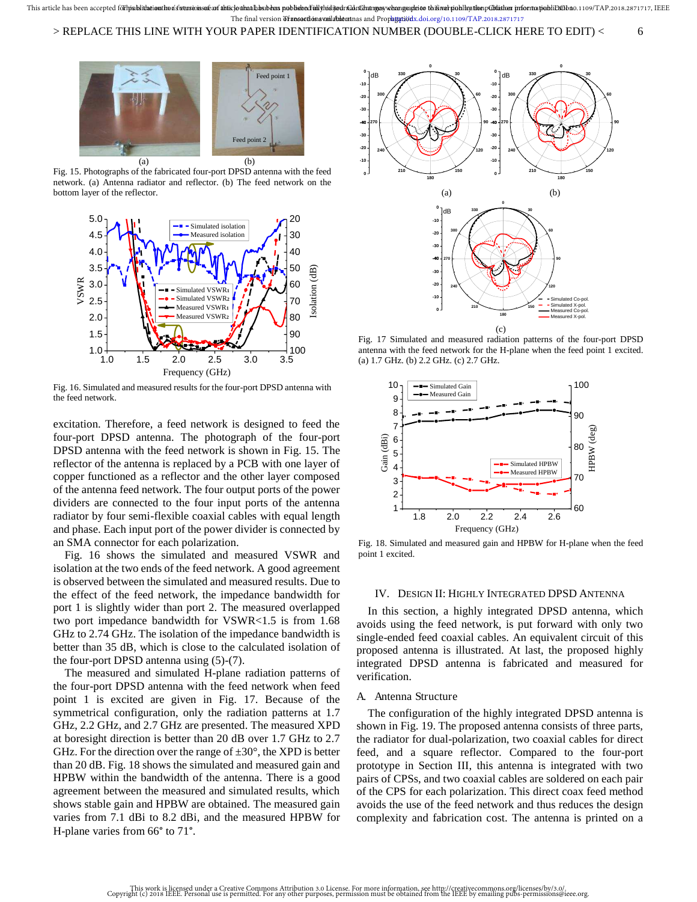

Fig. 15. Photographs of the fabricated four-port DPSD antenna with the feed network. (a) Antenna radiator and reflector. (b) The feed network on the bottom layer of the reflector.



Fig. 16. Simulated and measured results for the four-port DPSD antenna with the feed network.

excitation. Therefore, a feed network is designed to feed the four-port DPSD antenna. The photograph of the four-port DPSD antenna with the feed network is shown in Fig. 15. The reflector of the antenna is replaced by a PCB with one layer of copper functioned as a reflector and the other layer composed of the antenna feed network. The four output ports of the power dividers are connected to the four input ports of the antenna radiator by four semi-flexible coaxial cables with equal length and phase. Each input port of the power divider is connected by an SMA connector for each polarization.

Fig. 16 shows the simulated and measured VSWR and isolation at the two ends of the feed network. A good agreement is observed between the simulated and measured results. Due to the effect of the feed network, the impedance bandwidth for port 1 is slightly wider than port 2. The measured overlapped two port impedance bandwidth for VSWR<1.5 is from 1.68 GHz to 2.74 GHz. The isolation of the impedance bandwidth is better than 35 dB, which is close to the calculated isolation of the four-port DPSD antenna using (5)-(7).

The measured and simulated H-plane radiation patterns of the four-port DPSD antenna with the feed network when feed point 1 is excited are given in Fig. 17. Because of the symmetrical configuration, only the radiation patterns at 1.7 GHz, 2.2 GHz, and 2.7 GHz are presented. The measured XPD at boresight direction is better than 20 dB over 1.7 GHz to 2.7 GHz. For the direction over the range of  $\pm 30^{\circ}$ , the XPD is better than 20 dB. Fig. 18 shows the simulated and measured gain and HPBW within the bandwidth of the antenna. There is a good agreement between the measured and simulated results, which shows stable gain and HPBW are obtained. The measured gain varies from 7.1 dBi to 8.2 dBi, and the measured HPBW for H-plane varies from 66° to 71°.



Fig. 17 Simulated and measured radiation patterns of the four-port DPSD antenna with the feed network for the H-plane when the feed point 1 excited. (a) 1.7 GHz. (b) 2.2 GHz. (c) 2.7 GHz.



Fig. 18. Simulated and measured gain and HPBW for H-plane when the feed point 1 excited.

#### IV. DESIGN II: HIGHLY INTEGRATED DPSD ANTENNA

In this section, a highly integrated DPSD antenna, which avoids using the feed network, is put forward with only two single-ended feed coaxial cables. An equivalent circuit of this proposed antenna is illustrated. At last, the proposed highly integrated DPSD antenna is fabricated and measured for verification.

#### A. Antenna Structure

The configuration of the highly integrated DPSD antenna is shown in Fig. 19. The proposed antenna consists of three parts, the radiator for dual-polarization, two coaxial cables for direct feed, and a square reflector. Compared to the four-port prototype in Section III, this antenna is integrated with two pairs of CPSs, and two coaxial cables are soldered on each pair of the CPS for each polarization. This direct coax feed method avoids the use of the feed network and thus reduces the design complexity and fabrication cost. The antenna is printed on a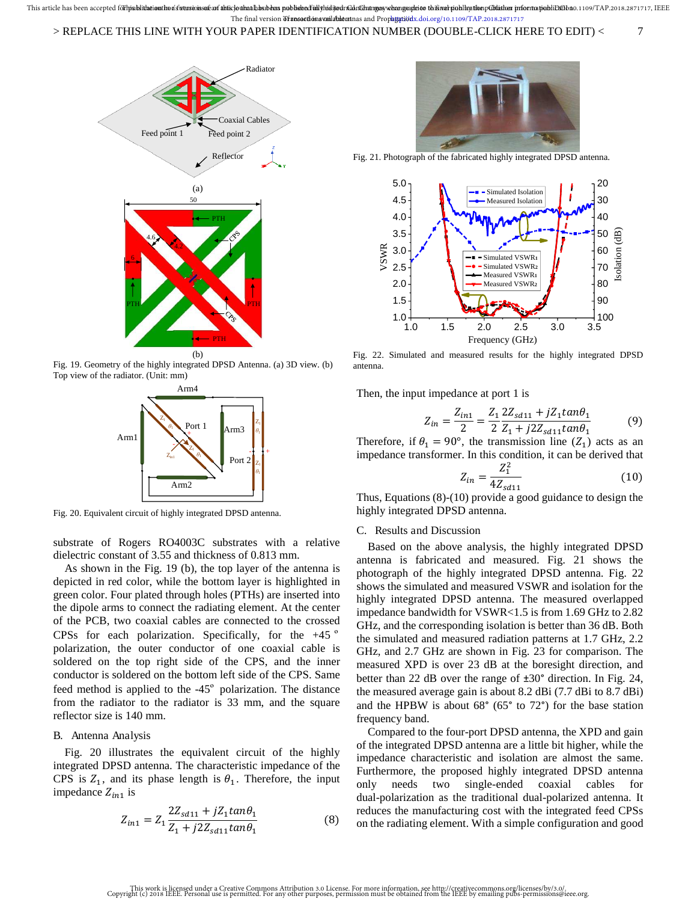#### > REPLACE THIS LINE WITH YOUR PAPER IDENTIFICATION NUMBER (DOUBLE-CLICK HERE TO EDIT) < 7



Fig. 19. Geometry of the highly integrated DPSD Antenna. (a) 3D view. (b) Top view of the radiator. (Unit: mm)



Fig. 20. Equivalent circuit of highly integrated DPSD antenna.

substrate of Rogers RO4003C substrates with a relative dielectric constant of 3.55 and thickness of 0.813 mm.

As shown in the Fig. 19 (b), the top layer of the antenna is depicted in red color, while the bottom layer is highlighted in green color. Four plated through holes (PTHs) are inserted into the dipole arms to connect the radiating element. At the center of the PCB, two coaxial cables are connected to the crossed CPSs for each polarization. Specifically, for the  $+45^\circ$ polarization, the outer conductor of one coaxial cable is soldered on the top right side of the CPS, and the inner conductor is soldered on the bottom left side of the CPS. Same feed method is applied to the  $-45^\circ$  polarization. The distance from the radiator to the radiator is 33 mm, and the square reflector size is 140 mm.

#### B. Antenna Analysis

Fig. 20 illustrates the equivalent circuit of the highly integrated DPSD antenna. The characteristic impedance of the CPS is  $Z_1$ , and its phase length is  $\theta_1$ . Therefore, the input impedance  $Z_{in1}$  is

$$
Z_{in1} = Z_1 \frac{2Z_{sd11} + jZ_1 \tan \theta_1}{Z_1 + j2Z_{sd11} \tan \theta_1}
$$
(8)



Fig. 21. Photograph of the fabricated highly integrated DPSD antenna.



Fig. 22. Simulated and measured results for the highly integrated DPSD antenna.

Then, the input impedance at port 1 is

$$
Z_{in} = \frac{Z_{in1}}{2} = \frac{Z_1}{2} \frac{2Z_{sd11} + jZ_1 \tan \theta_1}{Z_1 + j2Z_{sd11} \tan \theta_1}
$$
(9)

Therefore, if  $\theta_1 = 90^\circ$ , the transmission line  $(Z_1)$  acts as an impedance transformer. In this condition, it can be derived that

$$
Z_{in} = \frac{Z_1^2}{4Z_{sd11}}
$$
 (10)

Thus, Equations (8)-(10) provide a good guidance to design the highly integrated DPSD antenna.

#### C. Results and Discussion

Based on the above analysis, the highly integrated DPSD antenna is fabricated and measured. Fig. 21 shows the photograph of the highly integrated DPSD antenna. Fig. 22 shows the simulated and measured VSWR and isolation for the highly integrated DPSD antenna. The measured overlapped impedance bandwidth for VSWR<1.5 is from 1.69 GHz to 2.82 GHz, and the corresponding isolation is better than 36 dB. Both the simulated and measured radiation patterns at 1.7 GHz, 2.2 GHz, and 2.7 GHz are shown in Fig. 23 for comparison. The measured XPD is over 23 dB at the boresight direction, and better than 22 dB over the range of ±30° direction. In Fig. 24, the measured average gain is about 8.2 dBi (7.7 dBi to 8.7 dBi) and the HPBW is about 68° (65° to 72°) for the base station frequency band.

Compared to the four-port DPSD antenna, the XPD and gain of the integrated DPSD antenna are a little bit higher, while the impedance characteristic and isolation are almost the same. Furthermore, the proposed highly integrated DPSD antenna only needs two single-ended coaxial cables for dual-polarization as the traditional dual-polarized antenna. It reduces the manufacturing cost with the integrated feed CPSs on the radiating element. With a simple configuration and good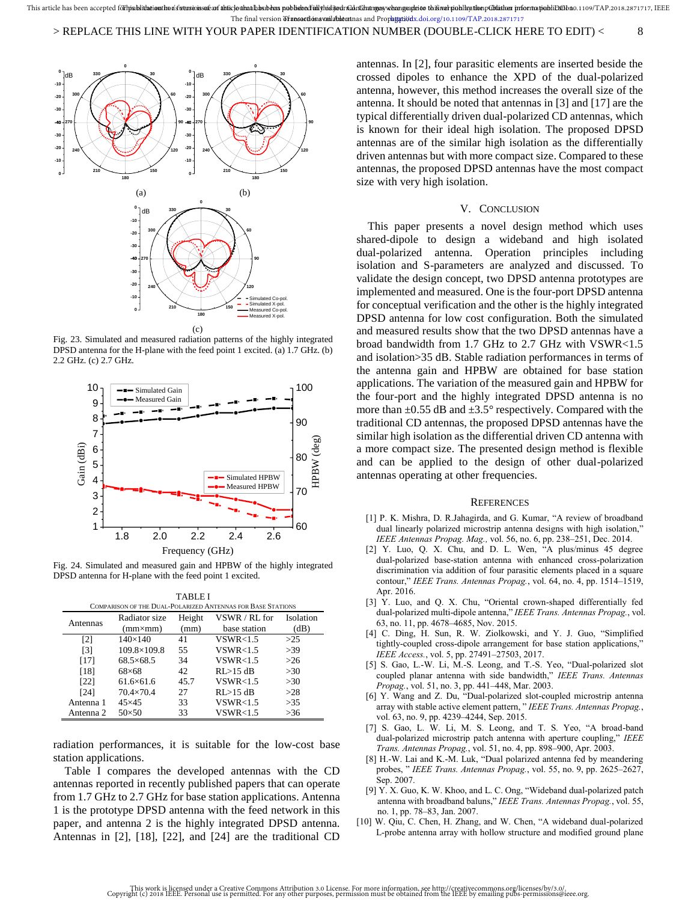

Fig. 23. Simulated and measured radiation patterns of the highly integrated DPSD antenna for the H-plane with the feed point 1 excited. (a) 1.7 GHz. (b) 2.2 GHz. (c) 2.7 GHz.



Fig. 24. Simulated and measured gain and HPBW of the highly integrated DPSD antenna for H-plane with the feed point 1 excited.

TABLE I COMPARISON OF THE DUAL-POLARIZED ANTENNAS FOR BASE STATIONS

| COMPARISON OF THE DUAL-FOLARIZED ANTENNAS FOR DASE STATIONS. |                    |        |                    |           |
|--------------------------------------------------------------|--------------------|--------|--------------------|-----------|
| Antennas                                                     | Radiator size      | Height | VSWR / RL for      | Isolation |
|                                                              | $(mm \times m)$    | (mm)   | base station       | (dB)      |
| [2]                                                          | $140\times140$     | 41     | VSWR<1.5           | >25       |
| $\lceil 3 \rceil$                                            | 109.8×109.8        | 55     | VSWR < 1.5         | >39       |
| [17]                                                         | $68.5\times 68.5$  | 34     | VSWR < 1.5         | $>26$     |
| [18]                                                         | $68\times 68$      | 42     | $RI > 15$ dB       | >30       |
| [22]                                                         | $61.6\times 61.6$  | 45.7   | VSWR < 1.5         | >30       |
| [24]                                                         | $70.4 \times 70.4$ | 27     | $RI > 15$ dB       | >28       |
| Antenna 1                                                    | $45\times 45$      | 33     | VSWR < 1.5         | >35       |
| Antenna 2                                                    | $50\times50$       | 33     | <b>VSWR&lt;1.5</b> | >36       |

radiation performances, it is suitable for the low-cost base station applications.

Table I compares the developed antennas with the CD antennas reported in recently published papers that can operate from 1.7 GHz to 2.7 GHz for base station applications. Antenna 1 is the prototype DPSD antenna with the feed network in this paper, and antenna 2 is the highly integrated DPSD antenna. Antennas in [2], [18], [22], and [24] are the traditional CD

antennas. In [2], four parasitic elements are inserted beside the crossed dipoles to enhance the XPD of the dual-polarized antenna, however, this method increases the overall size of the antenna. It should be noted that antennas in [3] and [17] are the typical differentially driven dual-polarized CD antennas, which is known for their ideal high isolation. The proposed DPSD antennas are of the similar high isolation as the differentially driven antennas but with more compact size. Compared to these antennas, the proposed DPSD antennas have the most compact size with very high isolation.

#### V. CONCLUSION

This paper presents a novel design method which uses shared-dipole to design a wideband and high isolated dual-polarized antenna. Operation principles including isolation and S-parameters are analyzed and discussed. To validate the design concept, two DPSD antenna prototypes are implemented and measured. One is the four-port DPSD antenna for conceptual verification and the other is the highly integrated DPSD antenna for low cost configuration. Both the simulated and measured results show that the two DPSD antennas have a broad bandwidth from 1.7 GHz to 2.7 GHz with VSWR<1.5 and isolation>35 dB. Stable radiation performances in terms of the antenna gain and HPBW are obtained for base station applications. The variation of the measured gain and HPBW for the four-port and the highly integrated DPSD antenna is no more than  $\pm 0.55$  dB and  $\pm 3.5^{\circ}$  respectively. Compared with the traditional CD antennas, the proposed DPSD antennas have the similar high isolation as the differential driven CD antenna with a more compact size. The presented design method is flexible and can be applied to the design of other dual-polarized antennas operating at other frequencies.

#### **REFERENCES**

- [1] P. K. Mishra, D. R.Jahagirda, and G. Kumar, "A review of broadband dual linearly polarized microstrip antenna designs with high isolation," *IEEE Antennas Propag. Mag.,* vol. 56, no. 6, pp. 238–251, Dec. 2014.
- [2] Y. Luo, Q. X. Chu, and D. L. Wen, "A plus/minus 45 degree dual-polarized base-station antenna with enhanced cross-polarization discrimination via addition of four parasitic elements placed in a square contour," *IEEE Trans. Antennas Propag.*, vol. 64, no. 4, pp. 1514–1519, Apr. 2016.
- [3] Y. Luo, and Q. X. Chu, "Oriental crown-shaped differentially fed dual-polarized multi-dipole antenna," *IEEE Trans. Antennas Propag.*, vol. 63, no. 11, pp. 4678–4685, Nov. 2015.
- [4] C. Ding, H. Sun, R. W. Ziolkowski, and Y. J. Guo, "Simplified tightly-coupled cross-dipole arrangement for base station applications," *IEEE Access.*, vol. 5, pp. 27491–27503, 2017.
- [5] S. Gao, L.-W. Li, M.-S. Leong, and T.-S. Yeo, "Dual-polarized slot coupled planar antenna with side bandwidth," *IEEE Trans. Antennas Propag.*, vol. 51, no. 3, pp. 441–448, Mar. 2003.
- [6] Y. Wang and Z. Du, "Dual-polarized slot-coupled microstrip antenna array with stable active element pattern, " *IEEE Trans. Antennas Propag.*, vol. 63, no. 9, pp. 4239–4244, Sep. 2015.
- [7] S. Gao, L. W. Li, M. S. Leong, and T. S. Yeo, "A broad-band dual-polarized microstrip patch antenna with aperture coupling," *IEEE Trans. Antennas Propag.*, vol. 51, no. 4, pp. 898–900, Apr. 2003.
- [8] H.-W. Lai and K.-M. Luk, "Dual polarized antenna fed by meandering probes, " *IEEE Trans. Antennas Propag.*, vol. 55, no. 9, pp. 2625–2627, Sep. 2007.
- [9] Y. X. Guo, K. W. Khoo, and L. C. Ong, "Wideband dual-polarized patch antenna with broadband baluns," *IEEE Trans. Antennas Propag.*, vol. 55, no. 1, pp. 78–83, Jan. 2007.
- [10] W. Qiu, C. Chen, H. Zhang, and W. Chen, "A wideband dual-polarized L-probe antenna array with hollow structure and modified ground plane